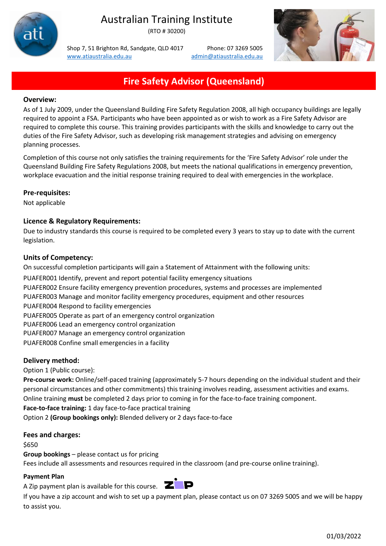

# Australian Training Institute

(RTO # 30200)

Shop 7, 51 Brighton Rd, Sandgate, QLD 4017 Phone: 07 3269 5005 [www.atiaustralia.edu.au](http://www.atiaustralia.edu.au/) [admin@atiaustralia.edu.au](mailto:admin@atiaustralia.edu.au)



# **Fire Safety Advisor (Queensland)**

### **Overview:**

As of 1 July 2009, under the Queensland Building Fire Safety Regulation 2008, all high occupancy buildings are legally required to appoint a FSA. Participants who have been appointed as or wish to work as a Fire Safety Advisor are required to complete this course. This training provides participants with the skills and knowledge to carry out the duties of the Fire Safety Advisor, such as developing risk management strategies and advising on emergency planning processes.

Completion of this course not only satisfies the training requirements for the 'Fire Safety Advisor' role under the Queensland Building Fire Safety Regulations 2008, but meets the national qualifications in emergency prevention, workplace evacuation and the initial response training required to deal with emergencies in the workplace.

# **Pre-requisites:**

Not applicable

# **Licence & Regulatory Requirements:**

Due to industry standards this course is required to be completed every 3 years to stay up to date with the current legislation.

# **Units of Competency:**

On successful completion participants will gain a Statement of Attainment with the following units: PUAFER001 Identify, prevent and report potential facility emergency situations PUAFER002 Ensure facility emergency prevention procedures, systems and processes are implemented PUAFER003 Manage and monitor facility emergency procedures, equipment and other resources PUAFER004 Respond to facility emergencies PUAFER005 Operate as part of an emergency control organization PUAFER006 Lead an emergency control organization PUAFER007 Manage an emergency control organization PUAFER008 Confine small emergencies in a facility

#### **Delivery method:**

Option 1 (Public course):

**Pre-course work:** Online/self-paced training (approximately 5-7 hours depending on the individual student and their personal circumstances and other commitments) this training involves reading, assessment activities and exams. Online training **must** be completed 2 days prior to coming in for the face-to-face training component.

**Face-to-face training:** 1 day face-to-face practical training

Option 2 **(Group bookings only):** Blended delivery or 2 days face-to-face

#### **Fees and charges:**

#### \$650

**Group bookings** – please contact us for pricing

Fees include all assessments and resources required in the classroom (and pre-course online training).

#### **Payment Plan**

A Zip payment plan is available for this course.  $\overline{\mathbf{Z}}$ 



If you have a zip account and wish to set up a payment plan, please contact us on 07 3269 5005 and we will be happy to assist you.